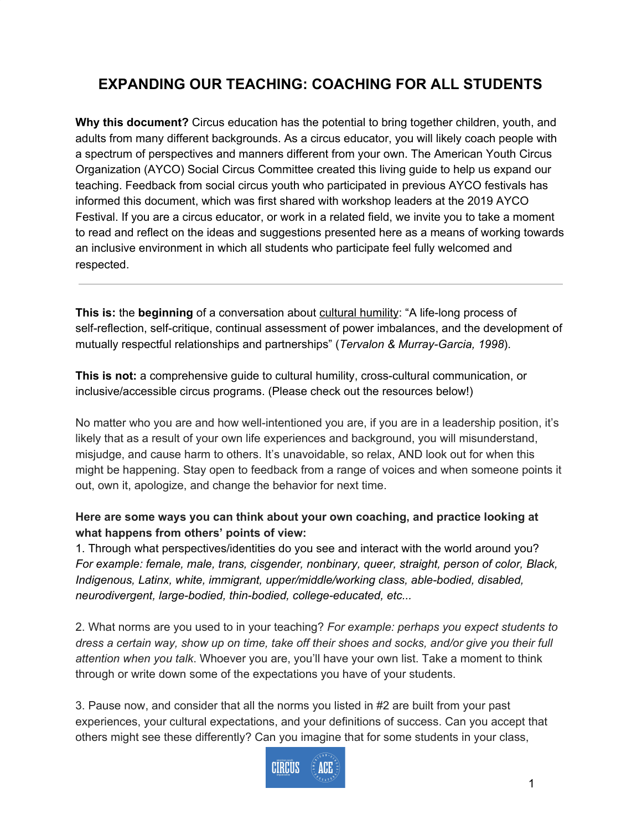## **EXPANDING OUR TEACHING: COACHING FOR ALL STUDENTS**

**Why this document?** Circus education has the potential to bring together children, youth, and adults from many different backgrounds. As a circus educator, you will likely coach people with a spectrum of perspectives and manners different from your own. The American Youth Circus Organization (AYCO) Social Circus Committee created this living guide to help us expand our teaching. Feedback from social circus youth who participated in previous AYCO festivals has informed this document, which was first shared with workshop leaders at the 2019 AYCO Festival. If you are a circus educator, or work in a related field, we invite you to take a moment to read and reflect on the ideas and suggestions presented here as a means of working towards an inclusive environment in which all students who participate feel fully welcomed and respected.

**This is:** the **beginning** of a conversation about cultural humility: "A life-long process of self-reflection, self-critique, continual assessment of power imbalances, and the development of mutually respectful relationships and partnerships" (*Tervalon & Murray-Garcia, 1998*).

**This is not:** a comprehensive guide to cultural humility, cross-cultural communication, or inclusive/accessible circus programs. (Please check out the resources below!)

No matter who you are and how well-intentioned you are, if you are in a leadership position, it's likely that as a result of your own life experiences and background, you will misunderstand, misjudge, and cause harm to others. It's unavoidable, so relax, AND look out for when this might be happening. Stay open to feedback from a range of voices and when someone points it out, own it, apologize, and change the behavior for next time.

## **Here are some ways you can think about your own coaching, and practice looking at what happens from others' points of view:**

1. Through what perspectives/identities do you see and interact with the world around you? *For example: female, male, trans, cisgender, nonbinary, queer, straight, person of color, Black, Indigenous, Latinx, white, immigrant, upper/middle/working class, able-bodied, disabled, neurodivergent, large-bodied, thin-bodied, college-educated, etc...*

2. What norms are you used to in your teaching? *For example: perhaps you expect students to* dress a certain way, show up on time, take off their shoes and socks, and/or give you their full *attention when you talk*. Whoever you are, you'll have your own list. Take a moment to think through or write down some of the expectations you have of your students.

3. Pause now, and consider that all the norms you listed in #2 are built from your past experiences, your cultural expectations, and your definitions of success. Can you accept that others might see these differently? Can you imagine that for some students in your class,

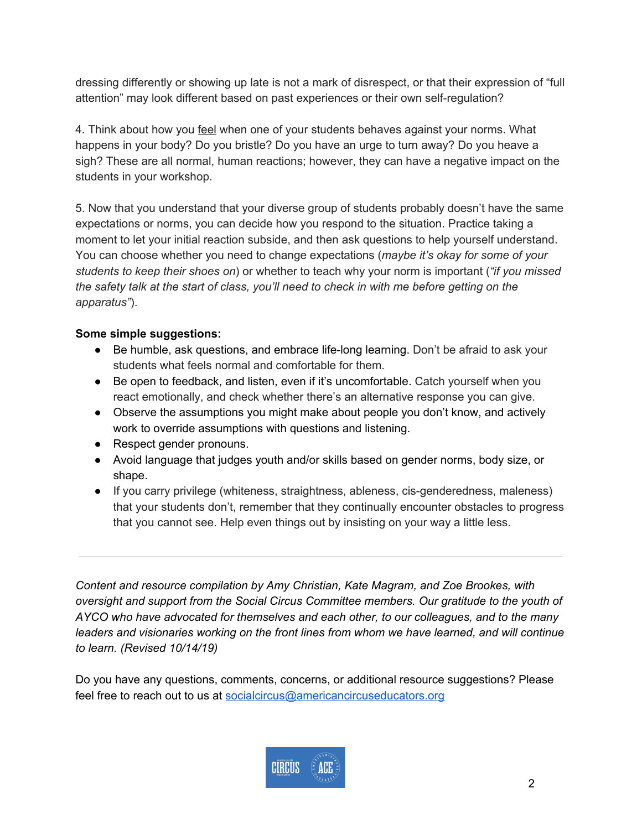dressing differently or showing up late is not a mark of disrespect, or that their expression of "full attention" may look different based on past experiences or their own self-regulation?

4. Think about how you feel when one of your students behaves against your norms. What happens in your body? Do you bristle? Do you have an urge to turn away? Do you heave a sigh? These are all normal, human reactions; however, they can have a negative impact on the students in your workshop.

5. Now that you understand that your diverse group of students probably doesn't have the same expectations or norms, you can decide how you respond to the situation. Practice taking a moment to let your initial reaction subside, and then ask questions to help yourself understand. You can choose whether you need to change expectations (*maybe it's okay for some of your students to keep their shoes on*) or whether to teach why your norm is important (*"if you missed* the safety talk at the start of class, you'll need to check in with me before getting on the *apparatus"*).

## **Some simple suggestions:**

- Be humble, ask questions, and embrace life-long learning. Don't be afraid to ask your students what feels normal and comfortable for them.
- Be open to feedback, and listen, even if it's uncomfortable. Catch yourself when you react emotionally, and check whether there's an alternative response you can give.
- Observe the assumptions you might make about people you don't know, and actively work to override assumptions with questions and listening.
- Respect gender pronouns.
- Avoid language that judges youth and/or skills based on gender norms, body size, or shape.
- If you carry privilege (whiteness, straightness, ableness, cis-genderedness, maleness) that your students don't, remember that they continually encounter obstacles to progress that you cannot see. Help even things out by insisting on your way a little less.

*Content and resource compilation by Amy Christian, Kate Magram, and Zoe Brookes, with oversight and support from the Social Circus Committee members. Our gratitude to the youth of AYCO who have advocated for themselves and each other, to our colleagues, and to the many leaders and visionaries working on the front lines from whom we have learned, and will continue to learn. (Revised 10/14/19)*

Do you have any questions, comments, concerns, or additional resource suggestions? Please feel free to reach out to us at [socialcircus@americancircuseducators.org](mailto:socialcircus@americancircuseducators.org)

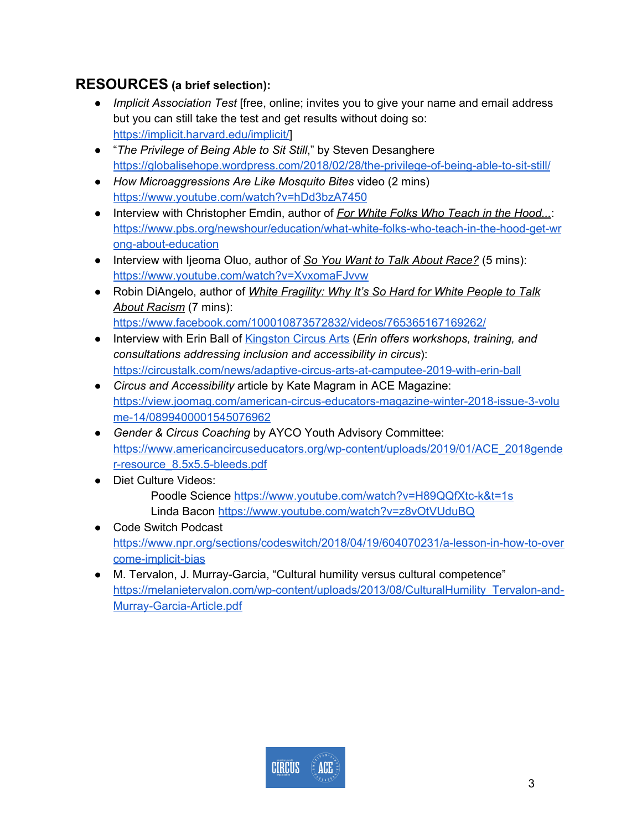## **RESOURCES (a brief selection):**

- *Implicit Association Test* [free, online; invites you to give your name and email address but you can still take the test and get results without doing so: [https://implicit.harvard.edu/implicit/\]](https://implicit.harvard.edu/implicit/)
- "*The Privilege of Being Able to Sit Still*," by Steven Desanghere <https://globalisehope.wordpress.com/2018/02/28/the-privilege-of-being-able-to-sit-still/>
- *How Microaggressions Are Like Mosquito Bites* video (2 mins) <https://www.youtube.com/watch?v=hDd3bzA7450>
- Interview with Christopher Emdin, author of *For White Folks Who Teach in the Hood...*: [https://www.pbs.org/newshour/education/what-white-folks-who-teach-in-the-hood-get-wr](https://www.pbs.org/newshour/education/what-white-folks-who-teach-in-the-hood-get-wrong-about-education) [ong-about-education](https://www.pbs.org/newshour/education/what-white-folks-who-teach-in-the-hood-get-wrong-about-education)
- Interview with Ijeoma Oluo, author of *So You Want to Talk About Race?* (5 mins): <https://www.youtube.com/watch?v=XvxomaFJvvw>
- Robin DiAngelo, author of *White Fragility: Why It's So Hard for White People to Talk About Racism* (7 mins): <https://www.facebook.com/100010873572832/videos/765365167169262/>
- Interview with Erin Ball of [Kingston](http://www.kingstoncircusarts.com/) Circus Arts (*Erin offers workshops, training, and consultations addressing inclusion and accessibility in circus*): <https://circustalk.com/news/adaptive-circus-arts-at-camputee-2019-with-erin-ball>
- *Circus and Accessibility* article by Kate Magram in ACE Magazine: [https://view.joomag.com/american-circus-educators-magazine-winter-2018-issue-3-volu](https://view.joomag.com/american-circus-educators-magazine-winter-2018-issue-3-volume-14/0899400001545076962) [me-14/0899400001545076962](https://view.joomag.com/american-circus-educators-magazine-winter-2018-issue-3-volume-14/0899400001545076962)
- *Gender & Circus Coaching* by AYCO Youth Advisory Committee: [https://www.americancircuseducators.org/wp-content/uploads/2019/01/ACE\\_2018gende](https://www.americancircuseducators.org/wp-content/uploads/2019/01/ACE_2018gender-resource_8.5x5.5-bleeds.pdf) [r-resource\\_8.5x5.5-bleeds.pdf](https://www.americancircuseducators.org/wp-content/uploads/2019/01/ACE_2018gender-resource_8.5x5.5-bleeds.pdf)
- Diet Culture Videos: Poodle Science <https://www.youtube.com/watch?v=H89QQfXtc-k&t=1s> Linda Bacon <https://www.youtube.com/watch?v=z8vOtVUduBQ>
- Code Switch Podcast [https://www.npr.org/sections/codeswitch/2018/04/19/604070231/a-lesson-in-how-to-over](https://www.npr.org/sections/codeswitch/2018/04/19/604070231/a-lesson-in-how-to-overcome-implicit-bias) [come-implicit-bias](https://www.npr.org/sections/codeswitch/2018/04/19/604070231/a-lesson-in-how-to-overcome-implicit-bias)
- M. Tervalon, J. Murray-Garcia, "Cultural humility versus cultural competence" [https://melanietervalon.com/wp-content/uploads/2013/08/CulturalHumility\\_Tervalon-and-](https://melanietervalon.com/wp-content/uploads/2013/08/CulturalHumility_Tervalon-and-Murray-Garcia-Article.pdf)[Murray-Garcia-Article.pdf](https://melanietervalon.com/wp-content/uploads/2013/08/CulturalHumility_Tervalon-and-Murray-Garcia-Article.pdf)